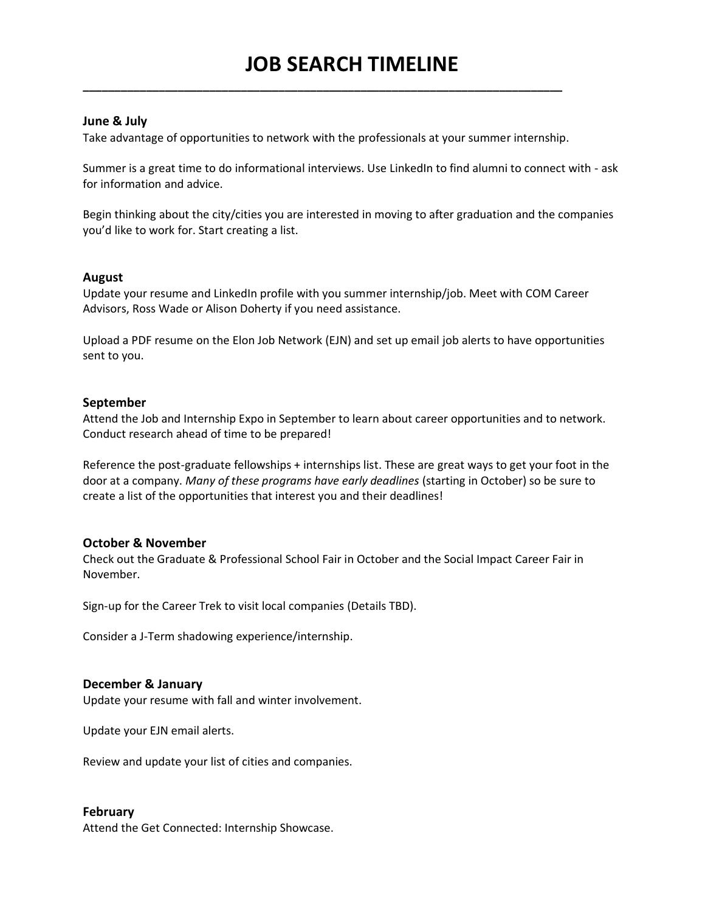## **June & July**

Take advantage of opportunities to network with the professionals at your summer internship.

**\_\_\_\_\_\_\_\_\_\_\_\_\_\_\_\_\_\_\_\_\_\_\_\_\_\_\_\_\_\_\_\_\_\_\_\_\_\_\_\_\_\_\_\_\_\_\_\_\_\_\_\_\_\_\_\_\_\_\_\_\_\_\_\_\_\_\_\_\_\_\_\_\_\_\_\_**

Summer is a great time to do informational interviews. Use LinkedIn to find alumni to connect with - ask for information and advice.

Begin thinking about the city/cities you are interested in moving to after graduation and the companies you'd like to work for. Start creating a list.

### **August**

Update your resume and LinkedIn profile with you summer internship/job. Meet with COM Career Advisors, Ross Wade or Alison Doherty if you need assistance.

Upload a PDF resume on the Elon Job Network (EJN) and set up email job alerts to have opportunities sent to you.

### **September**

Attend the Job and Internship Expo in September to learn about career opportunities and to network. Conduct research ahead of time to be prepared!

Reference the post-graduate fellowships + internships list. These are great ways to get your foot in the door at a company. *Many of these programs have early deadlines* (starting in October) so be sure to create a list of the opportunities that interest you and their deadlines!

### **October & November**

Check out the Graduate & Professional School Fair in October and the Social Impact Career Fair in November.

Sign-up for the Career Trek to visit local companies (Details TBD).

Consider a J-Term shadowing experience/internship.

#### **December & January**

Update your resume with fall and winter involvement.

Update your EJN email alerts.

Review and update your list of cities and companies.

### **February**

Attend the Get Connected: Internship Showcase.